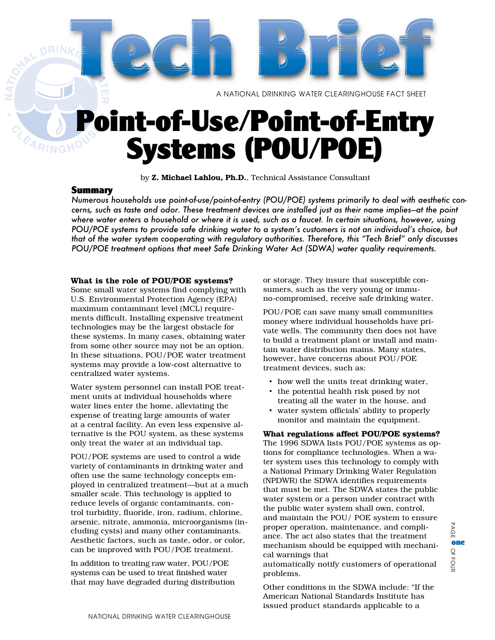A NATIONAL DRINKING WATER CLEARINGHOUSE FACT SHEET

# Point-of-Use/Point-of-Entry<br>Systems (POU/POE)

by Z. Michael Lahlou, Ph.D., Technical Assistance Consultant

# Summary

*Numerous households use point-of-use/point-of-entry (POU/POE) systems primarily to deal with aesthetic concerns, such as taste and odor. These treatment devices are installed just as their name implies—at the point where water enters a household or where it is used, such as a faucet. In certain situations, however, using POU/POE systems to provide safe drinking water to a system's customers is not an individual's choice, but that of the water system cooperating with regulatory authorities. Therefore, this "Tech Brief" only discusses POU/POE treatment options that meet Safe Drinking Water Act (SDWA) water quality requirements.* 

#### **What is the role of POU/POE systems?**

Some small water systems find complying with U.S. Environmental Protection Agency (EPA) maximum contaminant level (MCL) requirements difficult. Installing expensive treatment technologies may be the largest obstacle for these systems. In many cases, obtaining water from some other source may not be an option. In these situations, POU/POE water treatment systems may provide a low-cost alternative to centralized water systems.

Water system personnel can install POE treatment units at individual households where water lines enter the home, alleviating the expense of treating large amounts of water at a central facility. An even less expensive alternative is the POU system, as these systems only treat the water at an individual tap.

POU/POE systems are used to control a wide variety of contaminants in drinking water and often use the same technology concepts employed in centralized treatment—but at a much smaller scale. This technology is applied to reduce levels of organic contaminants, control turbidity, fluoride, iron, radium, chlorine, arsenic, nitrate, ammonia, microorganisms (including cysts) and many other contaminants. Aesthetic factors, such as taste, odor, or color, can be improved with POU/POE treatment.

In addition to treating raw water, POU/POE systems can be used to treat finished water that may have degraded during distribution or storage. They insure that susceptible consumers, such as the very young or immuno-compromised, receive safe drinking water.

POU/POE can save many small communities money where individual households have private wells. The community then does not have to build a treatment plant or install and maintain water distribution mains. Many states, however, have concerns about POU/POE treatment devices, such as:

- how well the units treat drinking water,
- the potential health risk posed by not treating all the water in the house, and
- water system officials' ability to properly monitor and maintain the equipment.

### **What regulations affect POU/POE systems?**

The 1996 SDWA lists POU/POE systems as options for compliance technologies. When a water system uses this technology to comply with a National Primary Drinking Water Regulation (NPDWR) the SDWA identifies requirements that must be met. The SDWA states the public water system or a person under contract with the public water system shall own, control, and maintain the POU/ POE system to ensure proper operation, maintenance, and compliance. The act also states that the treatment mechanism should be equipped with mechanical warnings that

automatically notify customers of operational problems.

Other conditions in the SDWA include: "If the American National Standards Institute has issued product standards applicable to a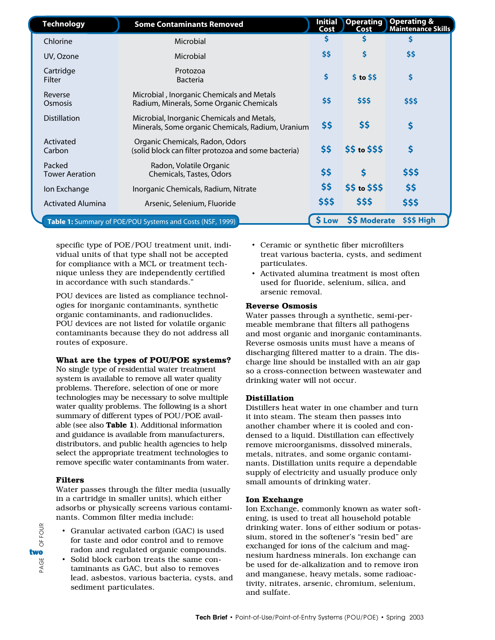| <b>Technology</b>                                         | <b>Some Contaminants Removed</b>                                                                | <b>Initial</b><br>Cost | <b>Operating</b><br>Cost | <b>Operating &amp;</b><br><b>Maintenance Skills</b> |
|-----------------------------------------------------------|-------------------------------------------------------------------------------------------------|------------------------|--------------------------|-----------------------------------------------------|
| Chlorine                                                  | Microbial                                                                                       | \$                     | \$                       | S                                                   |
| UV, Ozone                                                 | Microbial                                                                                       | \$\$                   | \$                       | \$\$                                                |
| Cartridge<br>Filter                                       | Protozoa<br><b>Bacteria</b>                                                                     | $\frac{1}{2}$          | $$$ to $$$               | \$                                                  |
| Reverse<br>Osmosis                                        | Microbial, Inorganic Chemicals and Metals<br>Radium, Minerals, Some Organic Chemicals           | \$\$                   | \$\$\$                   | \$\$\$                                              |
| <b>Distillation</b>                                       | Microbial, Inorganic Chemicals and Metals,<br>Minerals, Some organic Chemicals, Radium, Uranium | \$\$                   | \$\$                     | \$                                                  |
| Activated<br>Carbon                                       | Organic Chemicals, Radon, Odors<br>(solid block can filter protozoa and some bacteria)          | \$\$                   | \$\$ to \$\$\$           | \$                                                  |
| Packed<br><b>Tower Aeration</b>                           | Radon, Volatile Organic<br>Chemicals, Tastes, Odors                                             | \$\$                   | \$                       | \$\$\$                                              |
| lon Exchange                                              | Inorganic Chemicals, Radium, Nitrate                                                            | \$\$                   | \$\$ to \$\$\$           | \$\$                                                |
| <b>Activated Alumina</b>                                  | Arsenic, Selenium, Fluoride                                                                     | \$\$\$                 | \$\$\$                   | \$\$\$                                              |
| Table 1: Summary of POE/POU Systems and Costs (NSF, 1999) |                                                                                                 | \$ Low                 | \$\$ Moderate            | \$\$\$ High                                         |

specific type of POE/POU treatment unit, individual units of that type shall not be accepted for compliance with a MCL or treatment technique unless they are independently certified in accordance with such standards."

POU devices are listed as compliance technologies for inorganic contaminants, synthetic organic contaminants, and radionuclides. POU devices are not listed for volatile organic contaminants because they do not address all routes of exposure.

#### **What are the types of POU/POE systems?**

No single type of residential water treatment system is available to remove all water quality problems. Therefore, selection of one or more technologies may be necessary to solve multiple water quality problems. The following is a short summary of different types of POU/POE available (see also Table 1). Additional information and guidance is available from manufacturers, distributors, and public health agencies to help select the appropriate treatment technologies to remove specific water contaminants from water.

### **Filters**

PAGE OF FOUR

PAGE **S**<br>PAGE **OF** FOUR

Water passes through the filter media (usually in a cartridge in smaller units), which either adsorbs or physically screens various contaminants. Common filter media include:

- Granular activated carbon (GAC) is used for taste and odor control and to remove radon and regulated organic compounds.
- Solid block carbon treats the same contaminants as GAC, but also to removes lead, asbestos, various bacteria, cysts, and sediment particulates.
- Ceramic or synthetic fiber microfilters treat various bacteria, cysts, and sediment particulates.
- Activated alumina treatment is most often used for fluoride, selenium, silica, and arsenic removal.

### **Reverse Osmosis**

Water passes through a synthetic, semi-permeable membrane that filters all pathogens and most organic and inorganic contaminants. Reverse osmosis units must have a means of discharging filtered matter to a drain. The discharge line should be installed with an air gap so a cross-connection between wastewater and drinking water will not occur.

### **Distillation**

Distillers heat water in one chamber and turn it into steam. The steam then passes into another chamber where it is cooled and condensed to a liquid. Distillation can effectively remove microorganisms, dissolved minerals, metals, nitrates, and some organic contaminants. Distillation units require a dependable supply of electricity and usually produce only small amounts of drinking water.

### **Ion Exchange**

Ion Exchange, commonly known as water softening, is used to treat all household potable drinking water. Ions of either sodium or potassium, stored in the softener's "resin bed" are exchanged for ions of the calcium and magnesium hardness minerals. Ion exchange can be used for de-alkalization and to remove iron and manganese, heavy metals, some radioactivity, nitrates, arsenic, chromium, selenium, and sulfate.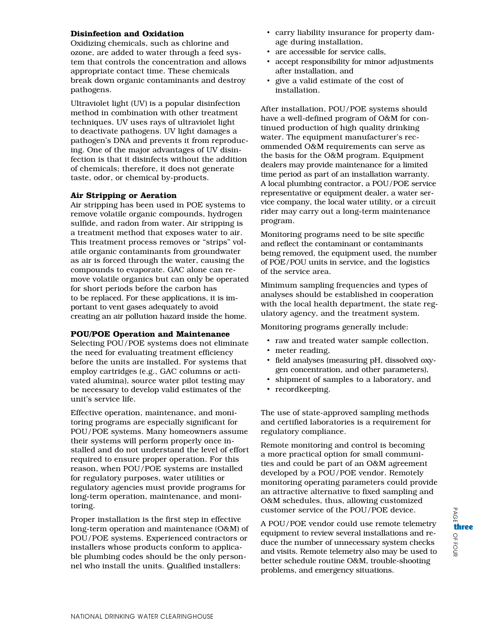#### **Disinfection and Oxidation**

Oxidizing chemicals, such as chlorine and ozone, are added to water through a feed system that controls the concentration and allows appropriate contact time. These chemicals break down organic contaminants and destroy pathogens.

Ultraviolet light (UV) is a popular disinfection method in combination with other treatment techniques. UV uses rays of ultraviolet light to deactivate pathogens. UV light damages a pathogen's DNA and prevents it from reproducing. One of the major advantages of UV disinfection is that it disinfects without the addition of chemicals; therefore, it does not generate taste, odor, or chemical by-products.

#### **Air Stripping or Aeration**

Air stripping has been used in POE systems to remove volatile organic compounds, hydrogen sulfide, and radon from water. Air stripping is a treatment method that exposes water to air. This treatment process removes or "strips" volatile organic contaminants from groundwater as air is forced through the water, causing the compounds to evaporate. GAC alone can remove volatile organics but can only be operated for short periods before the carbon has to be replaced. For these applications, it is important to vent gases adequately to avoid creating an air pollution hazard inside the home.

#### **POU/POE Operation and Maintenance**

Selecting POU/POE systems does not eliminate the need for evaluating treatment efficiency before the units are installed. For systems that employ cartridges (e.g., GAC columns or activated alumina), source water pilot testing may be necessary to develop valid estimates of the unit's service life.

Effective operation, maintenance, and monitoring programs are especially significant for POU/POE systems. Many homeowners assume their systems will perform properly once installed and do not understand the level of effort required to ensure proper operation. For this reason, when POU/POE systems are installed for regulatory purposes, water utilities or regulatory agencies must provide programs for long-term operation, maintenance, and monitoring.

Proper installation is the first step in effective long-term operation and maintenance (O&M) of POU/POE systems. Experienced contractors or installers whose products conform to applicable plumbing codes should be the only personnel who install the units. Qualified installers:

- carry liability insurance for property damage during installation,
- are accessible for service calls,
- accept responsibility for minor adjustments after installation, and
- give a valid estimate of the cost of installation.

After installation, POU/POE systems should have a well-defined program of O&M for continued production of high quality drinking water. The equipment manufacturer's recommended O&M requirements can serve as the basis for the O&M program. Equipment dealers may provide maintenance for a limited time period as part of an installation warranty. A local plumbing contractor, a POU/POE service representative or equipment dealer, a water service company, the local water utility, or a circuit rider may carry out a long-term maintenance program.

Monitoring programs need to be site specific and reflect the contaminant or contaminants being removed, the equipment used, the number of POE/POU units in service, and the logistics of the service area.

Minimum sampling frequencies and types of analyses should be established in cooperation with the local health department, the state regulatory agency, and the treatment system.

Monitoring programs generally include:

- raw and treated water sample collection,
- meter reading,
- field analyses (measuring pH, dissolved oxygen concentration, and other parameters),
- shipment of samples to a laboratory, and
- recordkeeping.

The use of state-approved sampling methods and certified laboratories is a requirement for regulatory compliance.

Remote monitoring and control is becoming a more practical option for small communities and could be part of an O&M agreement developed by a POU/POE vendor. Remotely monitoring operating parameters could provide an attractive alternative to fixed sampling and O&M schedules, thus, allowing customized customer service of the POU/POE device.

A POU/POE vendor could use remote telemetry equipment to review several installations and reduce the number of unnecessary system checks and visits. Remote telemetry also may be used to better schedule routine O&M, trouble-shooting problems, and emergency situations.